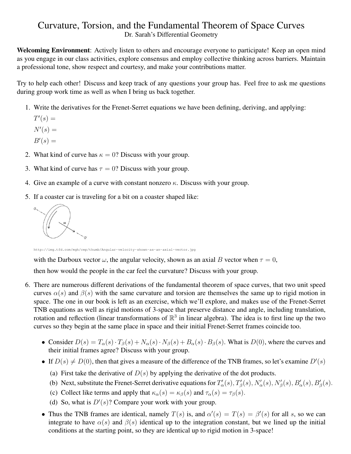## Curvature, Torsion, and the Fundamental Theorem of Space Curves Dr. Sarah's Differential Geometry

Welcoming Environment: Actively listen to others and encourage everyone to participate! Keep an open mind as you engage in our class activities, explore consensus and employ collective thinking across barriers. Maintain a professional tone, show respect and courtesy, and make your contributions matter.

Try to help each other! Discuss and keep track of any questions your group has. Feel free to ask me questions during group work time as well as when I bring us back together.

- 1. Write the derivatives for the Frenet-Serret equations we have been defining, deriving, and applying:
	- $T'(s) =$
	- $N'(s) =$
	- $B'(s) =$
- 2. What kind of curve has  $\kappa = 0$ ? Discuss with your group.
- 3. What kind of curve has  $\tau = 0$ ? Discuss with your group.
- 4. Give an example of a curve with constant nonzero  $\kappa$ . Discuss with your group.
- 5. If a coaster car is traveling for a bit on a coaster shaped like:



http://img.tfd.com/mgh/cep/thumb/Angular-velocity-shown-as-an-axial-vector.jpg

with the Darboux vector  $\omega$ , the angular velocity, shown as an axial B vector when  $\tau = 0$ ,

then how would the people in the car feel the curvature? Discuss with your group.

- 6. There are numerous different derivations of the fundamental theorem of space curves, that two unit speed curves  $\alpha(s)$  and  $\beta(s)$  with the same curvature and torsion are themselves the same up to rigid motion in space. The one in our book is left as an exercise, which we'll explore, and makes use of the Frenet-Serret TNB equations as well as rigid motions of 3-space that preserve distance and angle, including translation, rotation and reflection (linear transformations of  $\mathbb{R}^3$  in linear algebra). The idea is to first line up the two curves so they begin at the same place in space and their initial Frenet-Serret frames coincide too.
	- Consider  $D(s) = T_\alpha(s) \cdot T_\beta(s) + N_\alpha(s) \cdot N_\beta(s) + B_\alpha(s) \cdot B_\beta(s)$ . What is  $D(0)$ , where the curves and their initial frames agree? Discuss with your group.
	- If  $D(s) \neq D(0)$ , then that gives a measure of the difference of the TNB frames, so let's examine  $D'(s)$ 
		- (a) First take the derivative of  $D(s)$  by applying the derivative of the dot products.
		- (b) Next, substitute the Frenet-Serret derivative equations for  $T'_{\alpha}(s)$ ,  $T'_{\beta}(s)$ ,  $N'_{\alpha}(s)$ ,  $N'_{\beta}(s)$ ,  $B'_{\alpha}(s)$ ,  $B'_{\beta}(s)$ .
		- (c) Collect like terms and apply that  $\kappa_{\alpha}(s) = \kappa_{\beta}(s)$  and  $\tau_{\alpha}(s) = \tau_{\beta}(s)$ .
		- (d) So, what is  $D'(s)$ ? Compare your work with your group.
	- Thus the TNB frames are identical, namely  $T(s)$  is, and  $\alpha'(s) = T(s) = \beta'(s)$  for all s, so we can integrate to have  $\alpha(s)$  and  $\beta(s)$  identical up to the integration constant, but we lined up the initial conditions at the starting point, so they are identical up to rigid motion in 3-space!